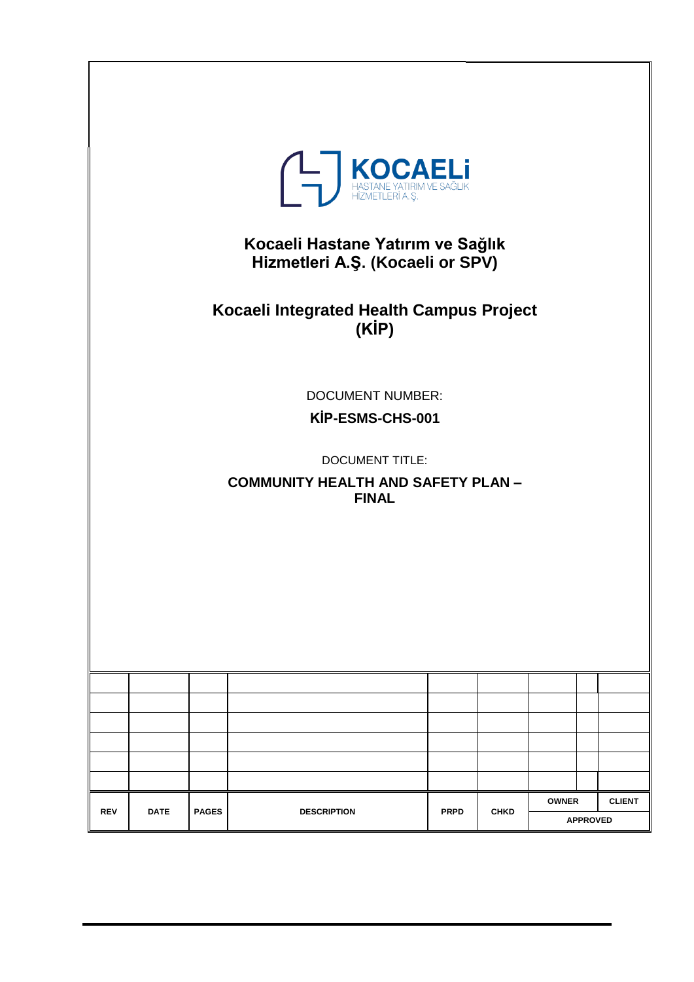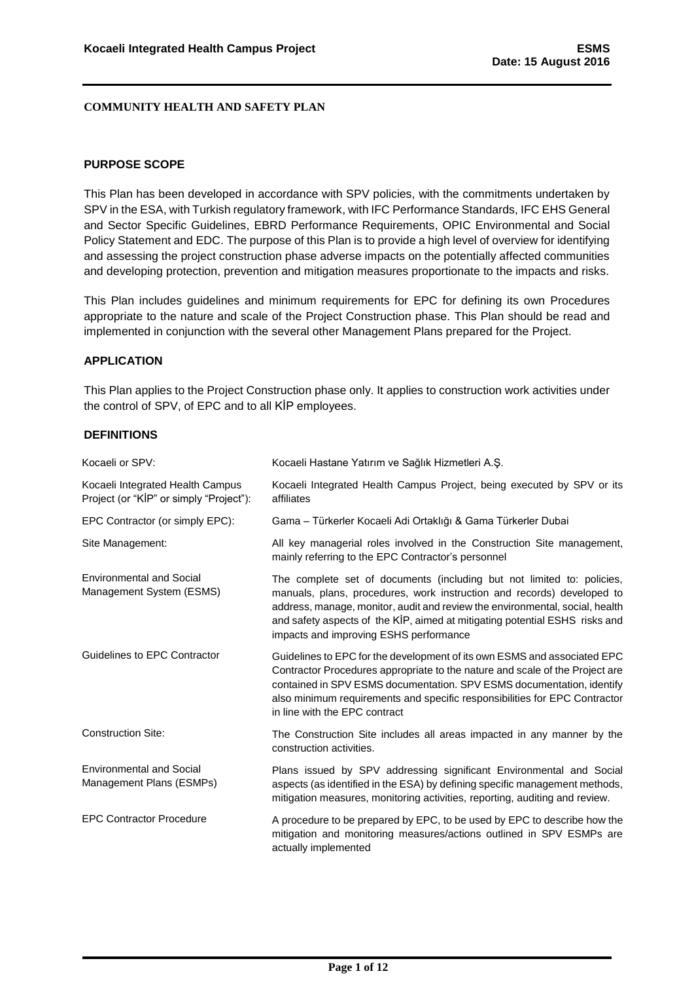#### <span id="page-1-0"></span>**PURPOSE SCOPE**

This Plan has been developed in accordance with SPV policies, with the commitments undertaken by SPV in the ESA, with Turkish regulatory framework, with IFC Performance Standards, IFC EHS General and Sector Specific Guidelines, EBRD Performance Requirements, OPIC Environmental and Social Policy Statement and EDC. The purpose of this Plan is to provide a high level of overview for identifying and assessing the project construction phase adverse impacts on the potentially affected communities and developing protection, prevention and mitigation measures proportionate to the impacts and risks.

This Plan includes guidelines and minimum requirements for EPC for defining its own Procedures appropriate to the nature and scale of the Project Construction phase. This Plan should be read and implemented in conjunction with the several other Management Plans prepared for the Project.

#### <span id="page-1-1"></span>**APPLICATION**

This Plan applies to the Project Construction phase only. It applies to construction work activities under the control of SPV, of EPC and to all KİP employees.

#### <span id="page-1-2"></span>**DEFINITIONS**

| Kocaeli or SPV:                                                             | Kocaeli Hastane Yatırım ve Sağlık Hizmetleri A.Ş.                                                                                                                                                                                                                                                                                                         |
|-----------------------------------------------------------------------------|-----------------------------------------------------------------------------------------------------------------------------------------------------------------------------------------------------------------------------------------------------------------------------------------------------------------------------------------------------------|
| Kocaeli Integrated Health Campus<br>Project (or "KİP" or simply "Project"): | Kocaeli Integrated Health Campus Project, being executed by SPV or its<br>affiliates                                                                                                                                                                                                                                                                      |
| EPC Contractor (or simply EPC):                                             | Gama - Türkerler Kocaeli Adi Ortaklığı & Gama Türkerler Dubai                                                                                                                                                                                                                                                                                             |
| Site Management:                                                            | All key managerial roles involved in the Construction Site management,<br>mainly referring to the EPC Contractor's personnel                                                                                                                                                                                                                              |
| <b>Environmental and Social</b><br>Management System (ESMS)                 | The complete set of documents (including but not limited to: policies,<br>manuals, plans, procedures, work instruction and records) developed to<br>address, manage, monitor, audit and review the environmental, social, health<br>and safety aspects of the KİP, aimed at mitigating potential ESHS risks and<br>impacts and improving ESHS performance |
| Guidelines to EPC Contractor                                                | Guidelines to EPC for the development of its own ESMS and associated EPC<br>Contractor Procedures appropriate to the nature and scale of the Project are<br>contained in SPV ESMS documentation. SPV ESMS documentation, identify<br>also minimum requirements and specific responsibilities for EPC Contractor<br>in line with the EPC contract          |
| <b>Construction Site:</b>                                                   | The Construction Site includes all areas impacted in any manner by the<br>construction activities.                                                                                                                                                                                                                                                        |
| <b>Environmental and Social</b><br>Management Plans (ESMPs)                 | Plans issued by SPV addressing significant Environmental and Social<br>aspects (as identified in the ESA) by defining specific management methods,<br>mitigation measures, monitoring activities, reporting, auditing and review.                                                                                                                         |
| <b>EPC Contractor Procedure</b>                                             | A procedure to be prepared by EPC, to be used by EPC to describe how the<br>mitigation and monitoring measures/actions outlined in SPV ESMPs are<br>actually implemented                                                                                                                                                                                  |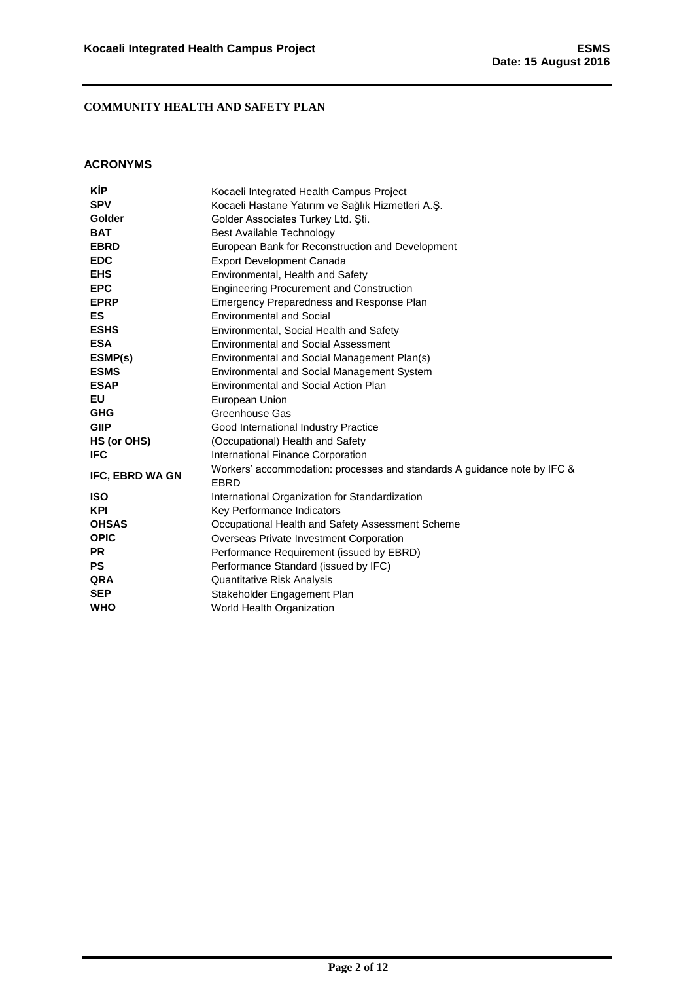### <span id="page-2-0"></span>**ACRONYMS**

| KİP             | Kocaeli Integrated Health Campus Project                                         |  |  |
|-----------------|----------------------------------------------------------------------------------|--|--|
| <b>SPV</b>      | Kocaeli Hastane Yatırım ve Sağlık Hizmetleri A.Ş.                                |  |  |
| <b>Golder</b>   | Golder Associates Turkey Ltd. Sti.                                               |  |  |
| <b>BAT</b>      | Best Available Technology                                                        |  |  |
| <b>EBRD</b>     | European Bank for Reconstruction and Development                                 |  |  |
| <b>EDC</b>      | <b>Export Development Canada</b>                                                 |  |  |
| <b>EHS</b>      | Environmental, Health and Safety                                                 |  |  |
| <b>EPC</b>      | <b>Engineering Procurement and Construction</b>                                  |  |  |
| <b>EPRP</b>     | Emergency Preparedness and Response Plan                                         |  |  |
| <b>ES</b>       | <b>Environmental and Social</b>                                                  |  |  |
| <b>ESHS</b>     | Environmental, Social Health and Safety                                          |  |  |
| <b>ESA</b>      | <b>Environmental and Social Assessment</b>                                       |  |  |
| ESMP(s)         | Environmental and Social Management Plan(s)                                      |  |  |
| <b>ESMS</b>     | <b>Environmental and Social Management System</b>                                |  |  |
| <b>ESAP</b>     | Environmental and Social Action Plan                                             |  |  |
| EU              | European Union                                                                   |  |  |
| <b>GHG</b>      | Greenhouse Gas                                                                   |  |  |
| <b>GIIP</b>     | Good International Industry Practice                                             |  |  |
| HS (or OHS)     | (Occupational) Health and Safety                                                 |  |  |
| <b>IFC</b>      | International Finance Corporation                                                |  |  |
| IFC, EBRD WA GN | Workers' accommodation: processes and standards A guidance note by IFC &<br>EBRD |  |  |
| <b>ISO</b>      | International Organization for Standardization                                   |  |  |
| <b>KPI</b>      | Key Performance Indicators                                                       |  |  |
| <b>OHSAS</b>    | Occupational Health and Safety Assessment Scheme                                 |  |  |
| <b>OPIC</b>     | Overseas Private Investment Corporation                                          |  |  |
| <b>PR</b>       | Performance Requirement (issued by EBRD)                                         |  |  |
| <b>PS</b>       | Performance Standard (issued by IFC)                                             |  |  |
| <b>QRA</b>      | Quantitative Risk Analysis                                                       |  |  |
| <b>SEP</b>      | Stakeholder Engagement Plan                                                      |  |  |
| <b>WHO</b>      | World Health Organization                                                        |  |  |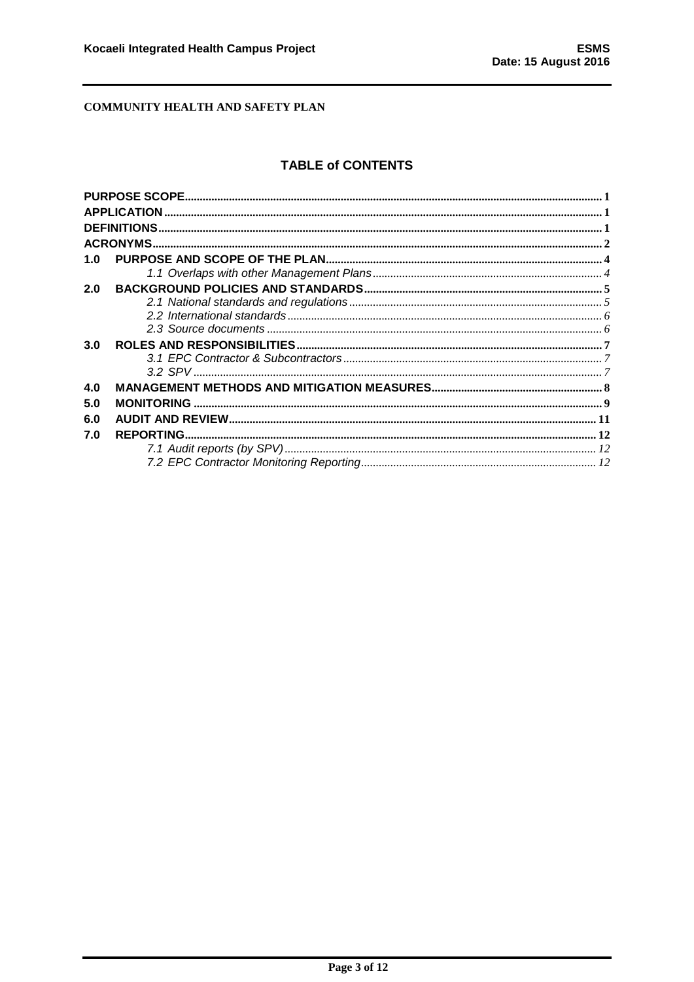## **TABLE of CONTENTS**

| 1.0 |  |
|-----|--|
|     |  |
| 2.0 |  |
|     |  |
|     |  |
|     |  |
| 3.0 |  |
|     |  |
|     |  |
| 4.0 |  |
| 5.0 |  |
| 6.0 |  |
| 7.0 |  |
|     |  |
|     |  |
|     |  |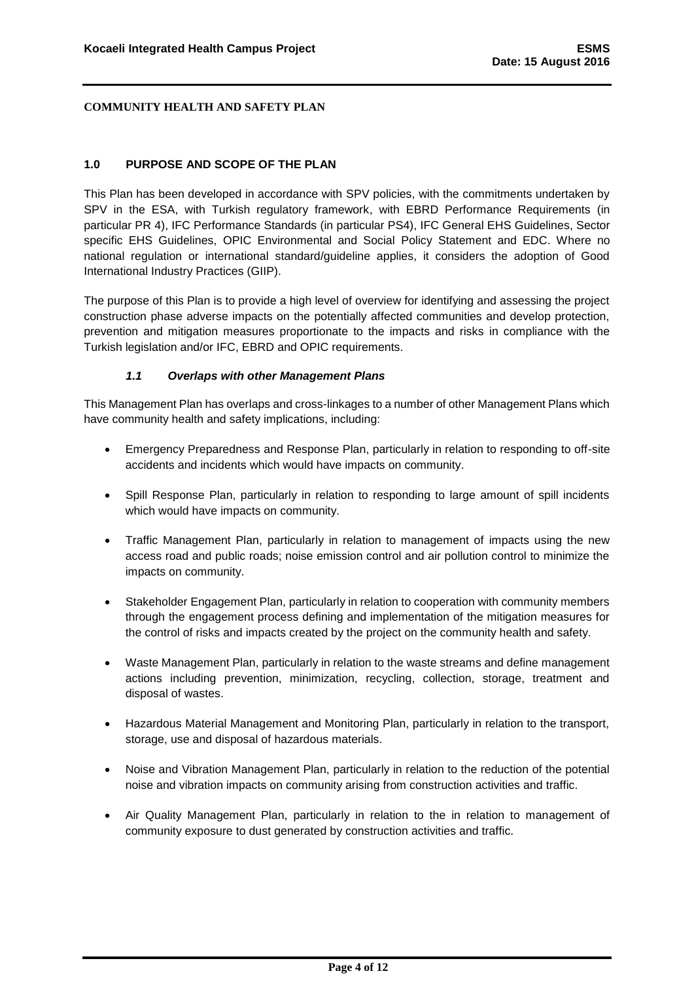#### <span id="page-4-0"></span>**1.0 PURPOSE AND SCOPE OF THE PLAN**

This Plan has been developed in accordance with SPV policies, with the commitments undertaken by SPV in the ESA, with Turkish regulatory framework, with EBRD Performance Requirements (in particular PR 4), IFC Performance Standards (in particular PS4), IFC General EHS Guidelines, Sector specific EHS Guidelines, OPIC Environmental and Social Policy Statement and EDC. Where no national regulation or international standard/guideline applies, it considers the adoption of Good International Industry Practices (GIIP).

The purpose of this Plan is to provide a high level of overview for identifying and assessing the project construction phase adverse impacts on the potentially affected communities and develop protection, prevention and mitigation measures proportionate to the impacts and risks in compliance with the Turkish legislation and/or IFC, EBRD and OPIC requirements.

#### *1.1 Overlaps with other Management Plans*

<span id="page-4-1"></span>This Management Plan has overlaps and cross-linkages to a number of other Management Plans which have community health and safety implications, including:

- Emergency Preparedness and Response Plan, particularly in relation to responding to off-site accidents and incidents which would have impacts on community.
- Spill Response Plan, particularly in relation to responding to large amount of spill incidents which would have impacts on community.
- Traffic Management Plan, particularly in relation to management of impacts using the new access road and public roads; noise emission control and air pollution control to minimize the impacts on community.
- Stakeholder Engagement Plan, particularly in relation to cooperation with community members through the engagement process defining and implementation of the mitigation measures for the control of risks and impacts created by the project on the community health and safety.
- Waste Management Plan, particularly in relation to the waste streams and define management actions including prevention, minimization, recycling, collection, storage, treatment and disposal of wastes.
- Hazardous Material Management and Monitoring Plan, particularly in relation to the transport, storage, use and disposal of hazardous materials.
- Noise and Vibration Management Plan, particularly in relation to the reduction of the potential noise and vibration impacts on community arising from construction activities and traffic.
- Air Quality Management Plan, particularly in relation to the in relation to management of community exposure to dust generated by construction activities and traffic.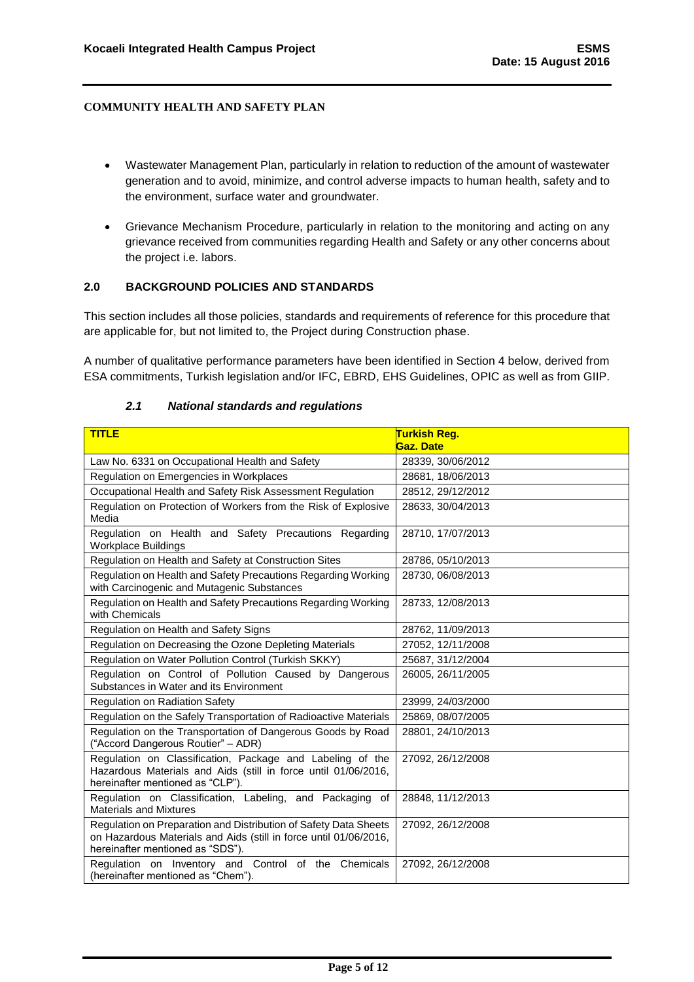- Wastewater Management Plan, particularly in relation to reduction of the amount of wastewater generation and to avoid, minimize, and control adverse impacts to human health, safety and to the environment, surface water and groundwater.
- Grievance Mechanism Procedure, particularly in relation to the monitoring and acting on any grievance received from communities regarding Health and Safety or any other concerns about the project i.e. labors.

#### <span id="page-5-0"></span>**2.0 BACKGROUND POLICIES AND STANDARDS**

This section includes all those policies, standards and requirements of reference for this procedure that are applicable for, but not limited to, the Project during Construction phase.

A number of qualitative performance parameters have been identified in Section 4 below, derived from ESA commitments, Turkish legislation and/or IFC, EBRD, EHS Guidelines, OPIC as well as from GIIP.

# <span id="page-5-1"></span>*2.1 National standards and regulations*

| <b>TITLE</b>                                                                                                                                                              | <mark>Turkish Reg.</mark><br>Gaz. Date |
|---------------------------------------------------------------------------------------------------------------------------------------------------------------------------|----------------------------------------|
| Law No. 6331 on Occupational Health and Safety                                                                                                                            | 28339, 30/06/2012                      |
| Regulation on Emergencies in Workplaces                                                                                                                                   | 28681, 18/06/2013                      |
| Occupational Health and Safety Risk Assessment Regulation                                                                                                                 | 28512, 29/12/2012                      |
| Regulation on Protection of Workers from the Risk of Explosive<br>Media                                                                                                   | 28633, 30/04/2013                      |
| Regulation on Health and Safety Precautions Regarding<br><b>Workplace Buildings</b>                                                                                       | 28710, 17/07/2013                      |
| Regulation on Health and Safety at Construction Sites                                                                                                                     | 28786, 05/10/2013                      |
| Regulation on Health and Safety Precautions Regarding Working<br>with Carcinogenic and Mutagenic Substances                                                               | 28730, 06/08/2013                      |
| Regulation on Health and Safety Precautions Regarding Working<br>with Chemicals                                                                                           | 28733, 12/08/2013                      |
| Regulation on Health and Safety Signs                                                                                                                                     | 28762, 11/09/2013                      |
| Regulation on Decreasing the Ozone Depleting Materials                                                                                                                    | 27052, 12/11/2008                      |
| Regulation on Water Pollution Control (Turkish SKKY)                                                                                                                      | 25687, 31/12/2004                      |
| Regulation on Control of Pollution Caused by Dangerous<br>Substances in Water and its Environment                                                                         | 26005. 26/11/2005                      |
| Regulation on Radiation Safety                                                                                                                                            | 23999, 24/03/2000                      |
| Regulation on the Safely Transportation of Radioactive Materials                                                                                                          | 25869, 08/07/2005                      |
| Regulation on the Transportation of Dangerous Goods by Road<br>("Accord Dangerous Routier" - ADR)                                                                         | 28801, 24/10/2013                      |
| Regulation on Classification, Package and Labeling of the<br>Hazardous Materials and Aids (still in force until 01/06/2016,<br>hereinafter mentioned as "CLP").           | 27092, 26/12/2008                      |
| Regulation on Classification, Labeling, and Packaging of<br><b>Materials and Mixtures</b>                                                                                 | 28848, 11/12/2013                      |
| Regulation on Preparation and Distribution of Safety Data Sheets<br>on Hazardous Materials and Aids (still in force until 01/06/2016,<br>hereinafter mentioned as "SDS"). | 27092, 26/12/2008                      |
| Regulation on Inventory and Control of the Chemicals<br>(hereinafter mentioned as "Chem").                                                                                | 27092, 26/12/2008                      |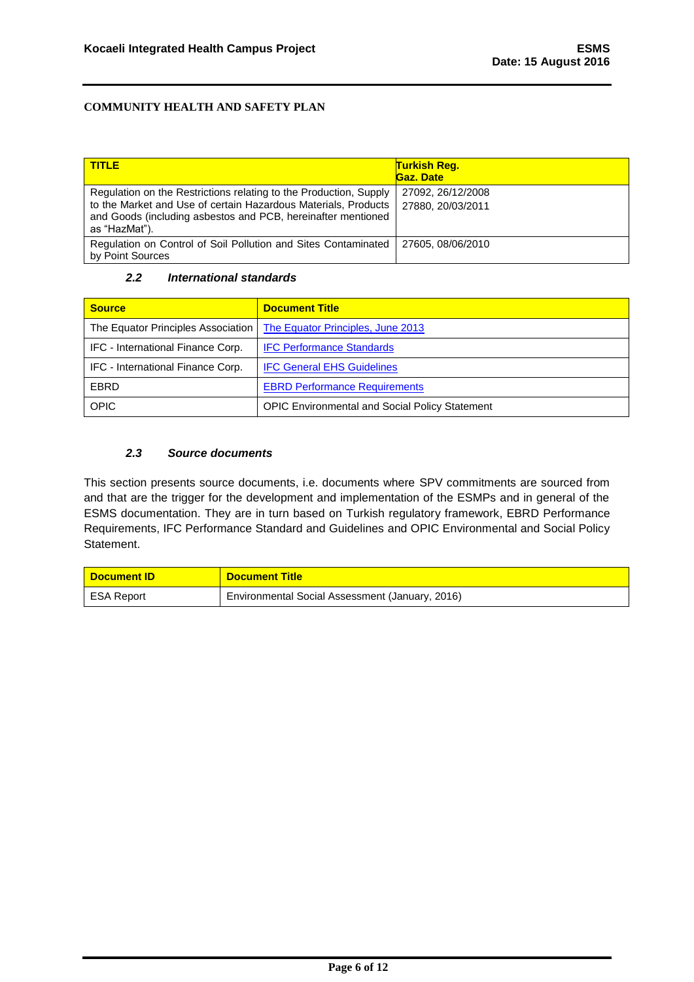| <b>TITLE</b>                                                                                                                                                                                                         | <b>Turkish Reg.</b><br>Gaz. Date       |
|----------------------------------------------------------------------------------------------------------------------------------------------------------------------------------------------------------------------|----------------------------------------|
| Regulation on the Restrictions relating to the Production, Supply<br>to the Market and Use of certain Hazardous Materials, Products<br>and Goods (including asbestos and PCB, hereinafter mentioned<br>as "HazMat"). | 27092, 26/12/2008<br>27880, 20/03/2011 |
| Regulation on Control of Soil Pollution and Sites Contaminated<br>by Point Sources                                                                                                                                   | 27605, 08/06/2010                      |

#### *2.2 International standards*

<span id="page-6-0"></span>

| <b>Source</b>                      | <b>Document Title</b>                                 |  |  |
|------------------------------------|-------------------------------------------------------|--|--|
| The Equator Principles Association | The Equator Principles, June 2013                     |  |  |
| IFC - International Finance Corp.  | <b>IFC Performance Standards</b>                      |  |  |
| IFC - International Finance Corp.  | <b>IFC General EHS Guidelines</b>                     |  |  |
| <b>EBRD</b>                        | <b>EBRD Performance Requirements</b>                  |  |  |
| <b>OPIC</b>                        | <b>OPIC Environmental and Social Policy Statement</b> |  |  |

## *2.3 Source documents*

<span id="page-6-1"></span>This section presents source documents, i.e. documents where SPV commitments are sourced from and that are the trigger for the development and implementation of the ESMPs and in general of the ESMS documentation. They are in turn based on Turkish regulatory framework, EBRD Performance Requirements, IFC Performance Standard and Guidelines and OPIC Environmental and Social Policy Statement.

| <b>Document ID</b> | <b>Document Title</b>                           |
|--------------------|-------------------------------------------------|
| <b>ESA Report</b>  | Environmental Social Assessment (January, 2016) |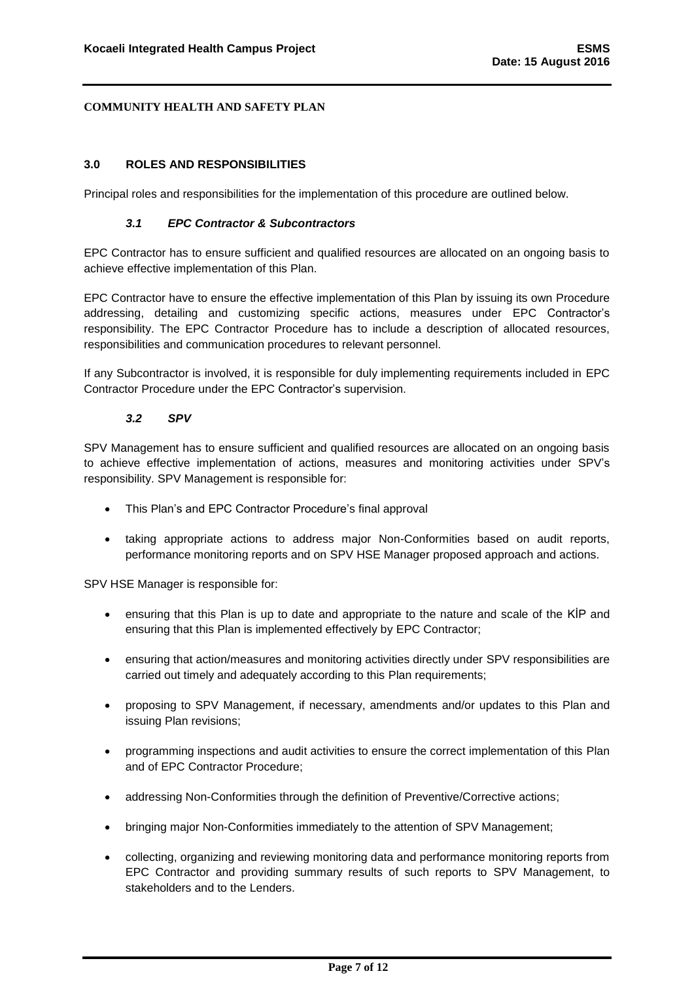#### <span id="page-7-0"></span>**3.0 ROLES AND RESPONSIBILITIES**

<span id="page-7-1"></span>Principal roles and responsibilities for the implementation of this procedure are outlined below.

#### *3.1 EPC Contractor & Subcontractors*

EPC Contractor has to ensure sufficient and qualified resources are allocated on an ongoing basis to achieve effective implementation of this Plan.

EPC Contractor have to ensure the effective implementation of this Plan by issuing its own Procedure addressing, detailing and customizing specific actions, measures under EPC Contractor's responsibility. The EPC Contractor Procedure has to include a description of allocated resources, responsibilities and communication procedures to relevant personnel.

If any Subcontractor is involved, it is responsible for duly implementing requirements included in EPC Contractor Procedure under the EPC Contractor's supervision.

#### *3.2 SPV*

<span id="page-7-2"></span>SPV Management has to ensure sufficient and qualified resources are allocated on an ongoing basis to achieve effective implementation of actions, measures and monitoring activities under SPV's responsibility. SPV Management is responsible for:

- This Plan's and EPC Contractor Procedure's final approval
- taking appropriate actions to address major Non-Conformities based on audit reports, performance monitoring reports and on SPV HSE Manager proposed approach and actions.

SPV HSE Manager is responsible for:

- ensuring that this Plan is up to date and appropriate to the nature and scale of the KİP and ensuring that this Plan is implemented effectively by EPC Contractor;
- ensuring that action/measures and monitoring activities directly under SPV responsibilities are carried out timely and adequately according to this Plan requirements;
- proposing to SPV Management, if necessary, amendments and/or updates to this Plan and issuing Plan revisions;
- programming inspections and audit activities to ensure the correct implementation of this Plan and of EPC Contractor Procedure;
- addressing Non-Conformities through the definition of Preventive/Corrective actions;
- bringing major Non-Conformities immediately to the attention of SPV Management;
- collecting, organizing and reviewing monitoring data and performance monitoring reports from EPC Contractor and providing summary results of such reports to SPV Management, to stakeholders and to the Lenders.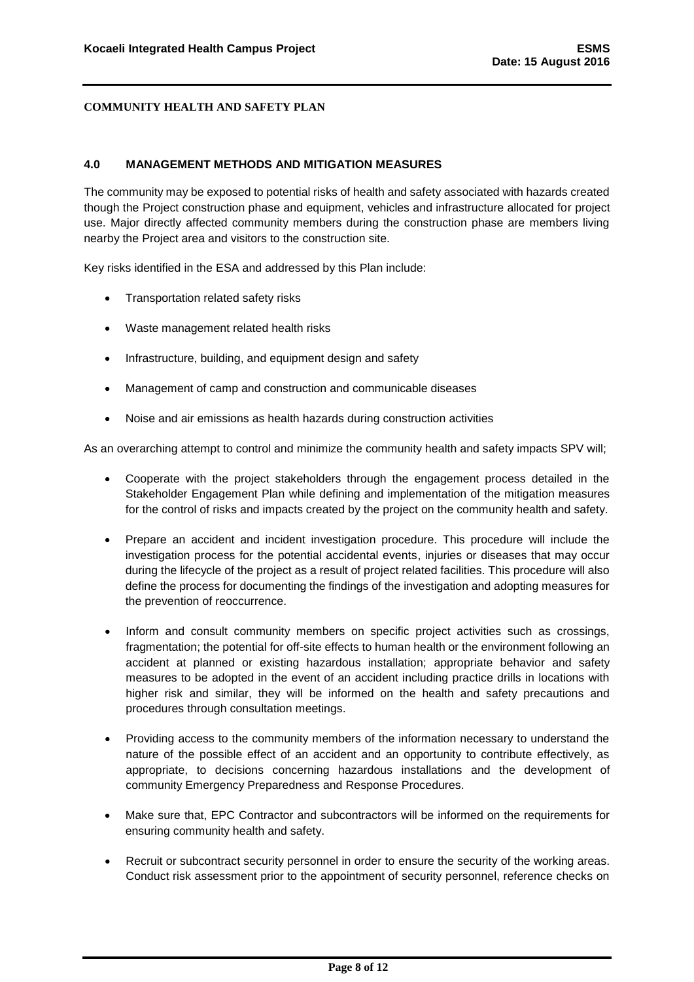#### <span id="page-8-0"></span>**4.0 MANAGEMENT METHODS AND MITIGATION MEASURES**

The community may be exposed to potential risks of health and safety associated with hazards created though the Project construction phase and equipment, vehicles and infrastructure allocated for project use. Major directly affected community members during the construction phase are members living nearby the Project area and visitors to the construction site.

Key risks identified in the ESA and addressed by this Plan include:

- Transportation related safety risks
- Waste management related health risks
- Infrastructure, building, and equipment design and safety
- Management of camp and construction and communicable diseases
- Noise and air emissions as health hazards during construction activities

As an overarching attempt to control and minimize the community health and safety impacts SPV will;

- Cooperate with the project stakeholders through the engagement process detailed in the Stakeholder Engagement Plan while defining and implementation of the mitigation measures for the control of risks and impacts created by the project on the community health and safety.
- Prepare an accident and incident investigation procedure. This procedure will include the investigation process for the potential accidental events, injuries or diseases that may occur during the lifecycle of the project as a result of project related facilities. This procedure will also define the process for documenting the findings of the investigation and adopting measures for the prevention of reoccurrence.
- Inform and consult community members on specific project activities such as crossings, fragmentation; the potential for off-site effects to human health or the environment following an accident at planned or existing hazardous installation; appropriate behavior and safety measures to be adopted in the event of an accident including practice drills in locations with higher risk and similar, they will be informed on the health and safety precautions and procedures through consultation meetings.
- Providing access to the community members of the information necessary to understand the nature of the possible effect of an accident and an opportunity to contribute effectively, as appropriate, to decisions concerning hazardous installations and the development of community Emergency Preparedness and Response Procedures.
- Make sure that, EPC Contractor and subcontractors will be informed on the requirements for ensuring community health and safety.
- Recruit or subcontract security personnel in order to ensure the security of the working areas. Conduct risk assessment prior to the appointment of security personnel, reference checks on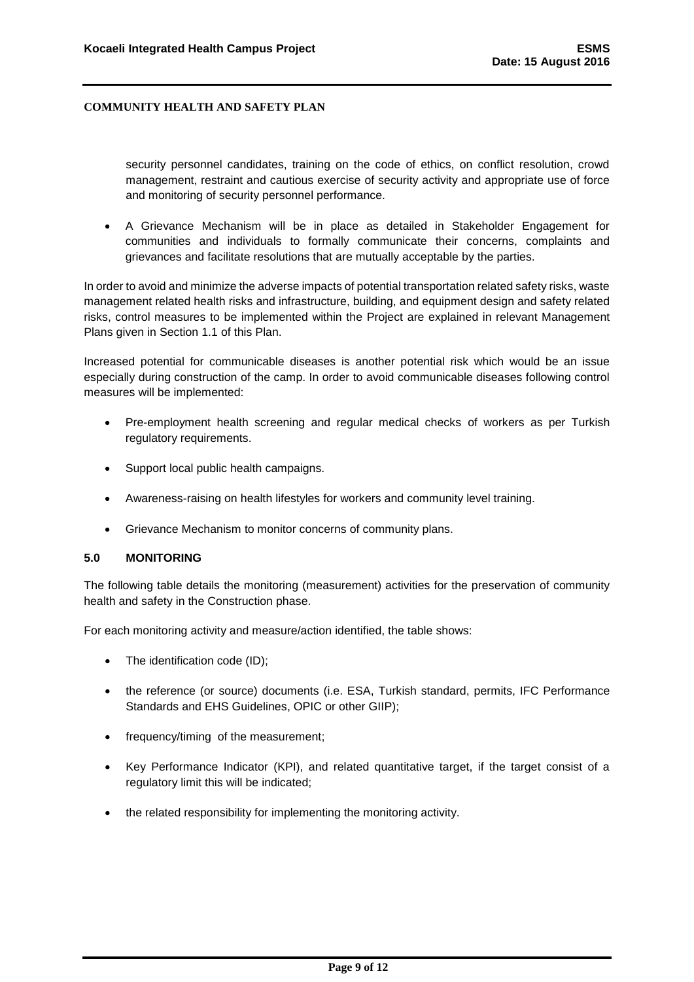security personnel candidates, training on the code of ethics, on conflict resolution, crowd management, restraint and cautious exercise of security activity and appropriate use of force and monitoring of security personnel performance.

 A Grievance Mechanism will be in place as detailed in Stakeholder Engagement for communities and individuals to formally communicate their concerns, complaints and grievances and facilitate resolutions that are mutually acceptable by the parties.

In order to avoid and minimize the adverse impacts of potential transportation related safety risks, waste management related health risks and infrastructure, building, and equipment design and safety related risks, control measures to be implemented within the Project are explained in relevant Management Plans given in Section 1.1 of this Plan.

Increased potential for communicable diseases is another potential risk which would be an issue especially during construction of the camp. In order to avoid communicable diseases following control measures will be implemented:

- Pre-employment health screening and regular medical checks of workers as per Turkish regulatory requirements.
- Support local public health campaigns.
- Awareness-raising on health lifestyles for workers and community level training.
- Grievance Mechanism to monitor concerns of community plans.

#### <span id="page-9-0"></span>**5.0 MONITORING**

The following table details the monitoring (measurement) activities for the preservation of community health and safety in the Construction phase.

For each monitoring activity and measure/action identified, the table shows:

- The identification code (ID);
- the reference (or source) documents (i.e. ESA, Turkish standard, permits, IFC Performance Standards and EHS Guidelines, OPIC or other GIIP);
- frequency/timing of the measurement;
- Key Performance Indicator (KPI), and related quantitative target, if the target consist of a regulatory limit this will be indicated;
- the related responsibility for implementing the monitoring activity.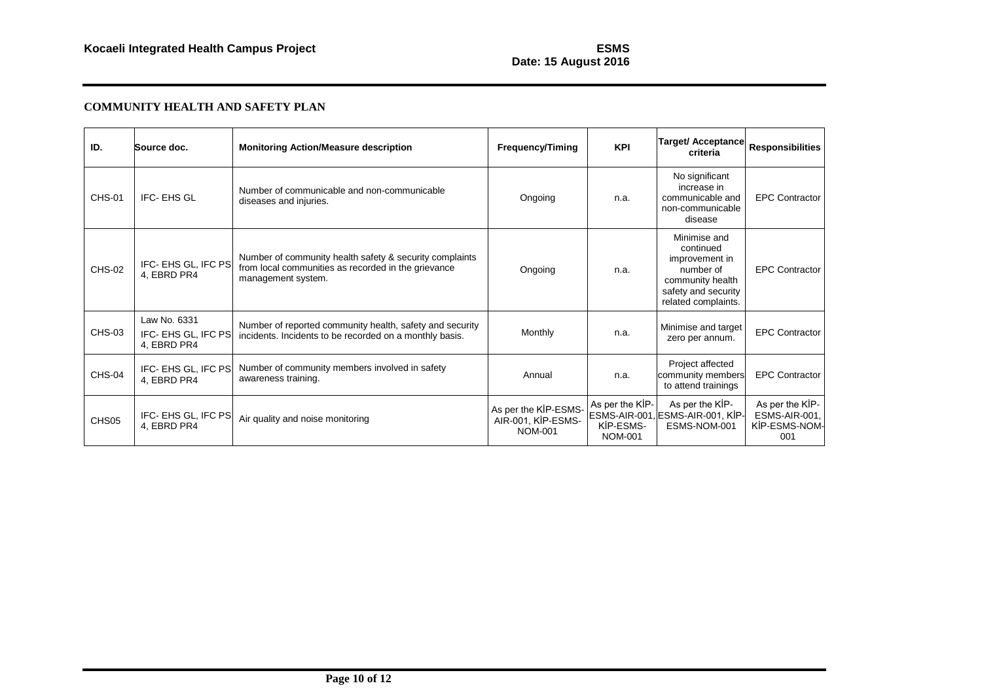## **Date: 15 August 2016**

## **COMMUNITY HEALTH AND SAFETY PLAN**

| ID.               | Source doc.                                        | <b>Monitoring Action/Measure description</b>                                                                                         | <b>Frequency/Timing</b>                                      | <b>KPI</b>                                     | Target/ Acceptance<br>criteria                                                                                             | <b>Responsibilities</b>                                  |
|-------------------|----------------------------------------------------|--------------------------------------------------------------------------------------------------------------------------------------|--------------------------------------------------------------|------------------------------------------------|----------------------------------------------------------------------------------------------------------------------------|----------------------------------------------------------|
| <b>CHS-01</b>     | IFC-EHS GL                                         | Number of communicable and non-communicable<br>diseases and injuries.                                                                | Ongoing                                                      | n.a.                                           | No significant<br>increase in<br>communicable and<br>non-communicable<br>disease                                           | <b>EPC Contractor</b>                                    |
| <b>CHS-02</b>     | IFC- EHS GL, IFC PS<br>4, EBRD PR4                 | Number of community health safety & security complaints<br>from local communities as recorded in the grievance<br>management system. | Ongoing                                                      | n.a.                                           | Minimise and<br>continued<br>improvement in<br>number of<br>community health<br>safety and security<br>related complaints. | <b>EPC Contractor</b>                                    |
| <b>CHS-03</b>     | Law No. 6331<br>IFC- EHS GL, IFC PS<br>4, EBRD PR4 | Number of reported community health, safety and security<br>incidents. Incidents to be recorded on a monthly basis.                  | Monthly                                                      | n.a.                                           | Minimise and target<br>zero per annum.                                                                                     | <b>EPC Contractor</b>                                    |
| CHS-04            | IFC- EHS GL, IFC PS<br>4, EBRD PR4                 | Number of community members involved in safety<br>awareness training.                                                                | Annual                                                       | n.a.                                           | Project affected<br>community members<br>to attend trainings                                                               | <b>EPC Contractor</b>                                    |
| CHS <sub>05</sub> | IFC- EHS GL, IFC PS<br>4, EBRD PR4                 | Air quality and noise monitoring                                                                                                     | As per the KİP-ESMS-<br>AIR-001, KİP-ESMS-<br><b>NOM-001</b> | As per the KIP-<br>KIP-ESMS-<br><b>NOM-001</b> | As per the KİP-<br>ESMS-AIR-001, ESMS-AIR-001, KIP-<br>ESMS-NOM-001                                                        | As per the KIP-<br>ESMS-AIR-001,<br>KİP-ESMS-NOM-<br>001 |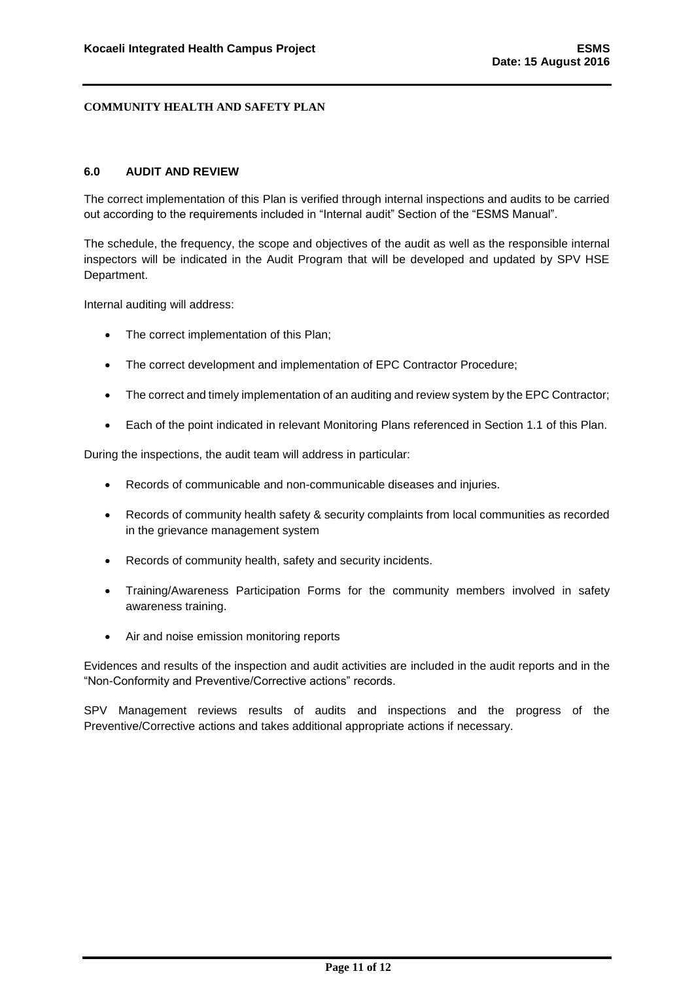#### <span id="page-11-0"></span>**6.0 AUDIT AND REVIEW**

The correct implementation of this Plan is verified through internal inspections and audits to be carried out according to the requirements included in "Internal audit" Section of the "ESMS Manual".

The schedule, the frequency, the scope and objectives of the audit as well as the responsible internal inspectors will be indicated in the Audit Program that will be developed and updated by SPV HSE Department.

Internal auditing will address:

- The correct implementation of this Plan;
- The correct development and implementation of EPC Contractor Procedure;
- The correct and timely implementation of an auditing and review system by the EPC Contractor;
- Each of the point indicated in relevant Monitoring Plans referenced in Section 1.1 of this Plan.

During the inspections, the audit team will address in particular:

- Records of communicable and non-communicable diseases and injuries.
- Records of community health safety & security complaints from local communities as recorded in the grievance management system
- Records of community health, safety and security incidents.
- Training/Awareness Participation Forms for the community members involved in safety awareness training.
- Air and noise emission monitoring reports

Evidences and results of the inspection and audit activities are included in the audit reports and in the "Non-Conformity and Preventive/Corrective actions" records.

SPV Management reviews results of audits and inspections and the progress of the Preventive/Corrective actions and takes additional appropriate actions if necessary.